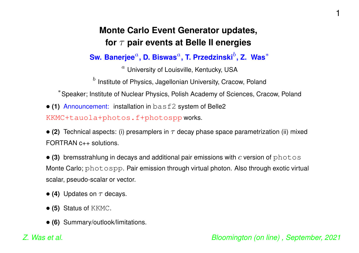#### **Monte Carlo Event Generator updates, for** <sup>τ</sup> **pair events at Belle II energies**

**Sw. Banerjee**<sup>a</sup>**, D. Biswas**<sup>a</sup>**, T. Przedzinski**b**, Z. Was**<sup>∗</sup>

 $a$  University of Louisville, Kentucky, USA

 $<sup>b</sup>$  Institute of Physics, Jagellonian University, Cracow, Poland</sup>

<sup>∗</sup>Speaker; Institute of Nuclear Physics, Polish Academy of Sciences, Cracow, Poland

• **(1)** Announcement: installation in basf2 system of Belle2

KKMC+tauola+photos.f+photospp works.

• (2) Technical aspects: (i) presamplers in  $\tau$  decay phase space parametrization (ii) mixed FORTRAN c++ solutions.

 $\bullet$  (3) bremsstrahlung in decays and additional pair emissions with c version of photos Monte Carlo; photospp. Pair emission through virtual photon. Also through exotic virtual scalar, pseudo-scalar or vector.

- $\bullet$  (4) Updates on  $\tau$  decays.
- **(5)** Status of KKMC.
- **(6)** Summary/outlook/limitations.

1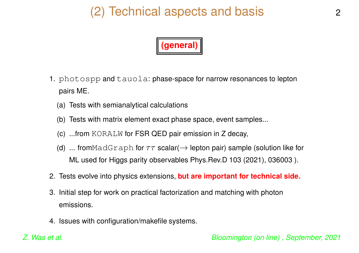## (2) Technical aspects and basis



- 1. photospp and tauola: phase-space for narrow resonances to lepton pairs ME.
	- (a) Tests with semianalytical calculations
	- (b) Tests with matrix element exact phase space, event samples...
	- (c) ...from KORALW for FSR QED pair emission in <sup>Z</sup> decay,
	- (d) ... from $\texttt{MadGraph}$  for  $\tau\tau$  scalar( $\rightarrow$  lepton pair) sample (solution like for ML used for Higgs parity observables Phys.Rev.D 103 (2021), 036003 ).
- 2. Tests evolve into physics extensions, **but are important for technical side.**
- 3. Initial step for work on practical factorization and matching with photon emissions.
- 4. Issues with configuration/makefile systems.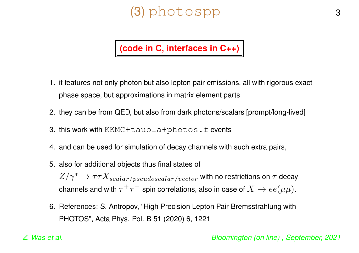# (3) photospp 3



- 1. it features not only photon but also lepton pair emissions, all with rigorous exact phase space, but approximations in matrix element parts
- 2. they can be from QED, but also from dark photons/scalars [prompt/long-lived]
- 3. this work with KKMC+tauola+photos.f events
- 4. and can be used for simulation of decay channels with such extra pairs,
- 5. also for additional objects thus final states of  $Z/\gamma^* \to \tau \tau X_{scalar/pseudoscalar/vector}$  with no restrictions on  $\tau$  decay channels and with  $\tau^+\tau^-$  spin correlations, also in case of  $X\to ee(\mu\mu)$ .
- 6. References: S. Antropov, "High Precision Lepton Pair Bremsstrahlung with PHOTOS", Acta Phys. Pol. B 51 (2020) 6, 1221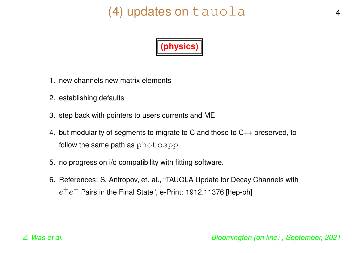## (4) updates on tauola 4



- 1. new channels new matrix elements
- 2. establishing defaults
- 3. step back with pointers to users currents and ME
- 4. but modularity of segments to migrate to C and those to C++ preserved, to follow the same path as photospp
- 5. no progress on i/o compatibility with fitting software.
- 6. References: S. Antropov, et. al., "TAUOLA Update for Decay Channels with  $e^+e^-$  Pairs in the Final State", e-Print: 1912.11376 [hep-ph]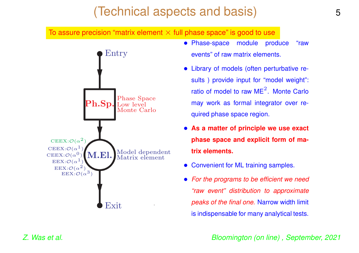## (Technical aspects and basis)

To assure precision "matrix element  $\times$  full phase space" is good to use



- Phase-space module produce "raw events" of raw matrix elements.
- Library of models (often perturbative results ) provide input for "model weight": ratio of model to raw ME $^2\!$ . Monte Carlo may work as formal integrator over required phase space region.
- **As <sup>a</sup> matter of principle we use exact phase space and explicit form of matrix elements.**
- Convenient for ML training samples.
- *For the programs to be efficient we need "raw event" distribution to approximate peaks of the final one.* Narrow width limit is indispensable for many analytical tests.

*Z. Was et al. Bloomington (on line) , September, 2021*

5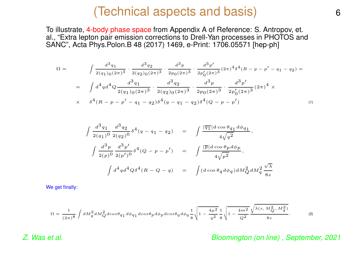#### (Technical aspects and basis)

To illustrate, 4-body phase space from Appendix A of Reference: S. Antropov, et. al., "Extra lepton pair emission corrections to Drell-Yan processes in PHOTOS and SANC", Acta Phys.Polon.B 48 (2017) 1469, e-Print: 1706.05571 [hep-ph]

$$
\Omega = \int \frac{d^3 q_1}{2(q_1)_0 (2\pi)^3} \cdot \frac{d^3 q_2}{2(q_2)_0 (2\pi)^3} \cdot \frac{d^3 p}{2p_0 (2\pi)^3} \cdot \frac{d^3 p'}{2p'_0 (2\pi)^3} (2\pi)^4 \delta^4 (R - p - p' - q_1 - q_2) =
$$
  
\n
$$
= \int d^4 q d^4 Q \frac{d^3 q_1}{2(q_1)_0 (2\pi)^3} \cdot \frac{d^3 q_2}{2(q_2)_0 (2\pi)^3} \cdot \frac{d^3 p}{2p_0 (2\pi)^3} \cdot \frac{d^3 p'}{2p'_0 (2\pi)^3} (2\pi)^4 \times
$$
  
\n
$$
\times \delta^4 (R - p - p' - q_1 - q_2) \delta^4 (q - q_1 - q_2) \delta^4 (Q - p - p')
$$
 (1)

$$
\int \frac{d^3 q_1}{2(q_1)^0} \frac{d^3 q_2}{2(q_2)^0} \delta^4(q - q_1 - q_2) = \int \frac{|\overline{q_1}| d \cos \theta_{q_1} d\phi_{q_1}}{4\sqrt{q^2}},
$$
  

$$
\int \frac{d^3 p}{2(p)^0} \frac{d^3 p'}{2(p')^0} \delta^4(Q - p - p') = \int \frac{|\overline{p}| d \cos \theta_p d\phi_p}{4\sqrt{p^2}},
$$
  

$$
\int d^4 q d^4 Q \delta^4(R - Q - q) = \int (d \cos \theta_q d\phi_q) dM_Q^2 dM_q^2 \frac{\sqrt{\lambda}}{8s}
$$

We get finally:

$$
\Omega = \frac{1}{(2\pi)^8} \int dM_q^2 dM_Q^2 d\cos\theta_{q_1} d\phi_{q_1} d\cos\theta_p d\phi_p d\cos\theta_q d\phi_q \frac{1}{8} \sqrt{1 - \frac{4\mu^2}{q^2}} \frac{1}{8} \sqrt{1 - \frac{4m^2}{Q^2}} \frac{\sqrt{\lambda(s, M_Q^2, M_q^2)}}{8s}.
$$
 (2)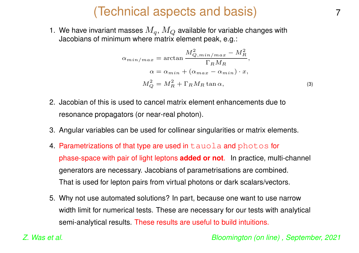## (Technical aspects and basis)

1. We have invariant masses  $M_{\bm q},\,M_{\bm Q}$  available for variable changes with Jacobians of minimum where matrix element peak, e.g.:

$$
\alpha_{min/max} = \arctan \frac{M_{Q,min/max}^2 - M_R^2}{\Gamma_R M_R},
$$
  
\n
$$
\alpha = \alpha_{min} + (\alpha_{max} - \alpha_{min}) \cdot x,
$$
  
\n
$$
M_Q^2 = M_R^2 + \Gamma_R M_R \tan \alpha,
$$
\n(3)

- 2. Jacobian of this is used to cancel matrix element enhancements due to resonance propagators (or near-real photon).
- 3. Angular variables can be used for collinear singularities or matrix elements.
- 4. Parametrizations of that type are used in tauola and photos for phase-space with pair of light leptons **added or not**. In practice, multi-channel generators are necessary. Jacobians of parametrisations are combined. That is used for lepton pairs from virtual photons or dark scalars/vectors.
- 5. Why not use automated solutions? In part, because one want to use narrow width limit for numerical tests. These are necessary for our tests with analytical semi-analytical results. These results are useful to build intuitions.

*Z. Was et al. Bloomington (on line) , September, 2021*

7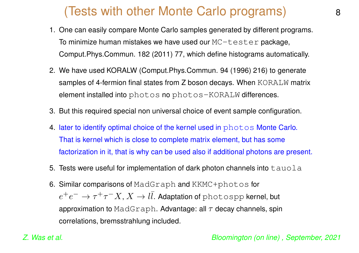## (Tests with other Monte Carlo programs)

- 1. One can easily compare Monte Carlo samples generated by different programs. To minimize human mistakes we have used our  $MC + \text{ester package}$ , Comput.Phys.Commun. 182 (2011) 77, which define histograms automatically.
- 2. We have used KORALW (Comput.Phys.Commun. 94 (1996) 216) to generate samples of 4-fermion final states from Z boson decays. When KORALW matrix element installed into photos no photos-KORALW differences.
- 3. But this required special non universal choice of event sample configuration.
- 4. later to identify optimal choice of the kernel used in photos Monte Carlo. That is kernel which is close to complete matrix element, but has some factorization in it, that is why can be used also if additional photons are present.
- 5. Tests were useful for implementation of dark photon channels into  $tawola$
- 6. Similar comparisons of MadGraph and KKMC+photos for  $e^+e$  $\tau^- \to \tau^+ \tau^ \overline{\phantom{x}}^X$   $\to l\overline{l}$ . Adaptation of photospp kernel, but approximation to <code>MadGraph</code>. Advantage: all  $\tau$  decay channels, spin correlations, bremsstrahlung included.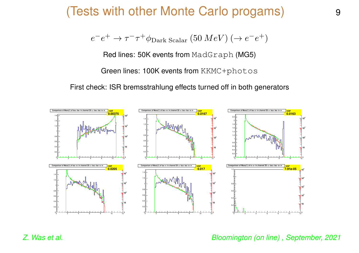#### (Tests with other Monte Carlo progams)

$$
e^-e^+ \to \tau^- \tau^+ \phi_{\text{Dark Scalar}} (50 \,\text{MeV}) \,(\to e^- e^+)
$$

Red lines: 50K events from MadGraph (MG5)

Green lines: 100K events from KKMC+photos

First check: ISR bremsstrahlung effects turned off in both generators

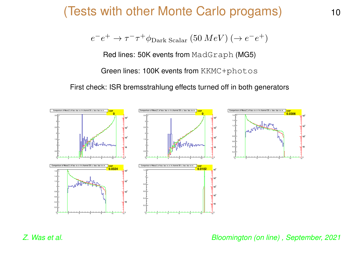#### (Tests with other Monte Carlo progams) <sup>10</sup>

$$
e^-e^+ \to \tau^- \tau^+ \phi_{\text{Dark Scalar}} (50 \,\text{MeV}) \;(\to e^- e^+)
$$

Red lines: 50K events from MadGraph (MG5)

Green lines: 100K events from KKMC+photos

First check: ISR bremsstrahlung effects turned off in both generators

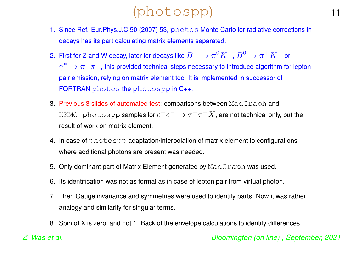## (photospp) <sup>11</sup>

- 1. Since Ref. Eur.Phys.J.C 50 (2007) 53, photos Monte Carlo for radiative corrections in decays has its part calculating matrix elements separated.
- 2. First for Z and W decay, later for decays like  $B^- \to \pi^0 K^-, B^0 \to \pi^+ K^-$  or  $\gamma^* \to \pi^-\pi^+,$  this provided technical steps necessary to introduce algorithm for lepton pair emission, relying on matrix element too. It is implemented in successor of FORTRAN photos the photospp in C++.
- 3. Previous 3 slides of automated test: comparisons between MadGraph and KKMC+photospp samples for  $e^+e^- \to \tau^+\tau^-X$ , are not technical only, but the result of work on matrix element.
- 4. In case of photospp adaptation/interpolation of matrix element to configurations where additional photons are present was needed.
- 5. Only dominant part of Matrix Element generated by MadGraph was used.
- 6. Its identification was not as formal as in case of lepton pair from virtual photon.
- 7. Then Gauge invariance and symmetries were used to identify parts. Now it was rather analogy and similarity for singular terms.
- 8. Spin of X is zero, and not 1. Back of the envelope calculations to identify differences.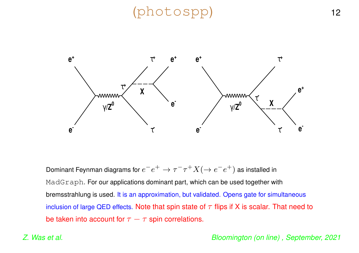## (photospp) <sup>12</sup>



Dominant Feynman diagrams for  $e^-e^+ \to \tau^-\tau^+ X (\to e^-e^+)$  as installed in MadGraph. For our applications dominant part, which can be used together with bremsstrahlung is used. It is an approximation, but validated. Opens gate for simultaneous inclusion of large QED effects. Note that spin state of  $\tau$  flips if X is scalar. That need to be taken into account for  $\tau - \tau$  spin correlations.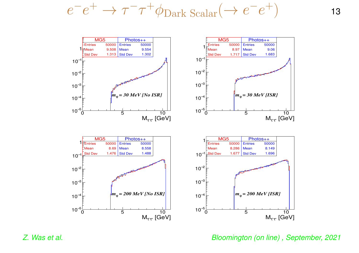$$
e^-e^+ \to \tau^- \tau^+ \phi_{\text{Dark Scalar}} (\to e^- e^+) \tag{13}
$$

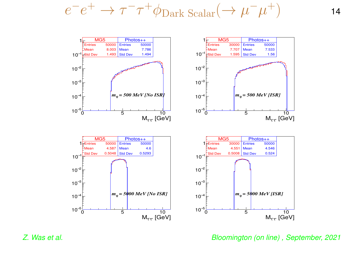$$
e^-e^+ \to \tau^- \tau^+ \phi_{\text{Dark Scalar}} (\to \mu^- \mu^+) \tag{14}
$$

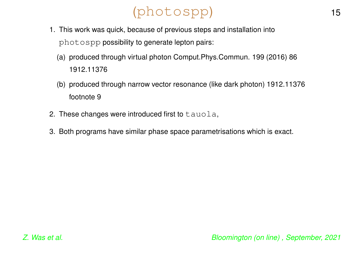# (photospp) <sup>15</sup>

- 1. This work was quick, because of previous steps and installation into photospp possibility to generate lepton pairs:
	- (a) produced through virtual photon Comput.Phys.Commun. 199 (2016) 86 1912.11376
	- (b) produced through narrow vector resonance (like dark photon) 1912.11376 footnote 9
- 2. These changes were introduced first to  $t$  auola,
- 3. Both programs have similar phase space parametrisations which is exact.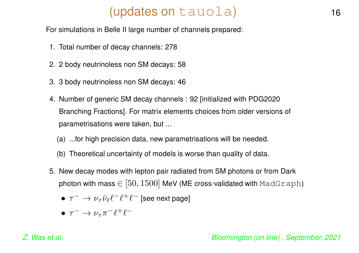## (updates on tauola) (16

For simulations in Belle II large number of channels prepared:

- 1. Total number of decay channels: 278
- 2. 2 body neutrinoless non SM decays: 58
- 3. 3 body neutrinoless non SM decays: 46
- 4. Number of generic SM decay channels : 92 [initialized with PDG2020 Branching Fractions]. For matrix elements choices from older versions of parametrisations were taken, but ...
	- (a) ...for high precision data, new parametrisations will be needed.
	- (b) Theoretical uncertainty of models is worse than quality of data.
- 5. New decay modes with lepton pair radiated from SM photons or from Dark photon with mass  $\in$  [50, 1500] MeV (ME cross-validated with MadGraph)
	- $\tau^- \to \nu_\tau \bar{\nu}_\ell \ell^- \ell^+ \ell^-$  [see next page]
	- $\bullet \tau^- \rightarrow \nu_\tau \pi^- \ell^+ \ell^-$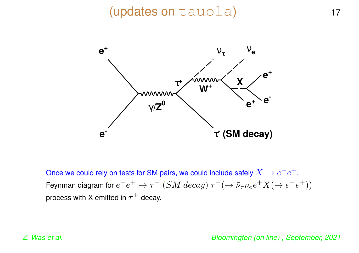### (updates on tauola) 17



Once we could rely on tests for SM pairs, we could include safely  $X \to e^-e^+$ . Feynman diagram for  $e^-e^+ \to \tau^ (SM \text{ decay}) \tau^+ (\to \bar{\nu}_\tau \nu_e e^+ X (\to e^- e^+))$ process with X emitted in  $\tau^+$  decay.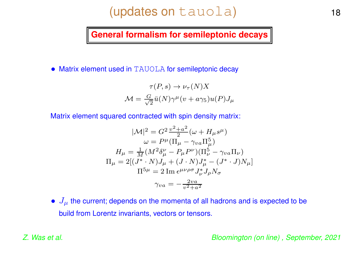## (updates on tauola) 18

**General formalism for semileptonic decays**

• Matrix element used in TAUOLA for semileptonic decay

$$
\tau(P, s) \to \nu_{\tau}(N)X
$$

$$
\mathcal{M} = \frac{G}{\sqrt{2}} \bar{u}(N)\gamma^{\mu}(v + a\gamma_5)u(P)J_{\mu}
$$

Matrix element squared contracted with spin density matrix:

$$
|\mathcal{M}|^2 = G^2 \frac{v^2 + a^2}{2} (\omega + H_\mu s^\mu)
$$
  
\n
$$
\omega = P^\mu (\Pi_\mu - \gamma_{\nu a} \Pi_\mu^5)
$$
  
\n
$$
H_\mu = \frac{1}{M} (M^2 \delta_\mu^\nu - P_\mu P^\nu) (\Pi_\nu^5 - \gamma_{\nu a} \Pi_\nu)
$$
  
\n
$$
\Pi_\mu = 2[(J^* \cdot N) J_\mu + (J \cdot N) J_\mu^* - (J^* \cdot J) N_\mu]
$$
  
\n
$$
\Pi^{5\mu} = 2 \operatorname{Im} \epsilon^{\mu \nu \rho \sigma} J_\nu^* J_\rho N_\sigma
$$
  
\n
$$
\gamma_{\nu a} = -\frac{2 \nu a}{v^2 + a^2}
$$

 $\bullet$   $J_{\mu}$  the current; depends on the momenta of all hadrons and is expected to be build from Lorentz invariants, vectors or tensors.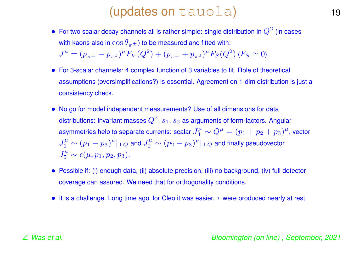### (updates on tauola) (19

- For two scalar decay channels all is rather simple: single distribution in  $Q^2$  (in cases with kaons also in  $\cos\theta_{\pi\pm}$ ) to be measured and fitted with:  $J^{\mu} = (p_{\pi \pm} - p_{\pi^0})^{\mu} F_V(Q^2) + (p_{\pi \pm} + p_{\pi^0})^{\mu} F_S(Q^2)$  ( $F_S \simeq 0$ ).
- For 3-scalar channels: 4 complex function of 3 variables to fit. Role of theoretical assumptions (oversimplifications?) is essential. Agreement on 1-dim distribution is just <sup>a</sup> consistency check.
- No go for model independent measurements? Use of all dimensions for data distributions: invariant masses  $Q^2$ ,  $s_1$ ,  $s_2$  as arguments of form-factors. Angular asymmetries help to separate currents: scalar  $J_4^{\mu} \sim Q^{\mu} = (p_1 + p_2 + p_3)^{\mu}$ , vector  $J_1^{\mu} \sim (p_1 - p_3)^{\mu}|_{\perp Q}$  and  $J_2^{\mu} \sim (p_2 - p_3)^{\mu}|_{\perp Q}$  and finally pseudovector  $J_5^{\mu} \sim \epsilon(\mu, p_1, p_2, p_3).$
- Possible if: (i) enough data, (ii) absolute precision, (iii) no background, (iv) full detector coverage can assured. We need that for orthogonality conditions.
- It is a challenge. Long time ago, for Cleo it was easier,  $\tau$  were produced nearly at rest.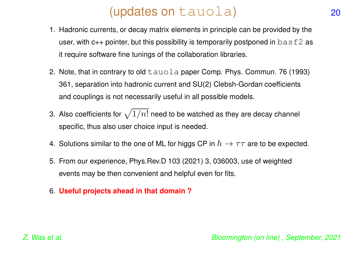## (updates on tauola) 20

- 1. Hadronic currents, or decay matrix elements in principle can be provided by the user, with  $c_{++}$  pointer, but this possibility is temporarily postponed in  $\text{basf2}$  as it require software fine tunings of the collaboration libraries.
- 2. Note, that in contrary to old  $tawola$  paper Comp. Phys. Commun. 76 (1993) 361, separation into hadronic current and SU(2) Clebsh-Gordan coefficients and couplings is not necessarily useful in all possible models.
- 3. Also coefficients for  $\sqrt{1/n!}$  need to be watched as they are decay channel specific, thus also user choice input is needed.
- 4. Solutions similar to the one of ML for higgs CP in  $h \to \tau\tau$  are to be expected.
- 5. From our experience, Phys.Rev.D 103 (2021) 3, 036003, use of weighted events may be then convenient and helpful even for fits.
- 6. **Useful projects ahead in that domain ?**